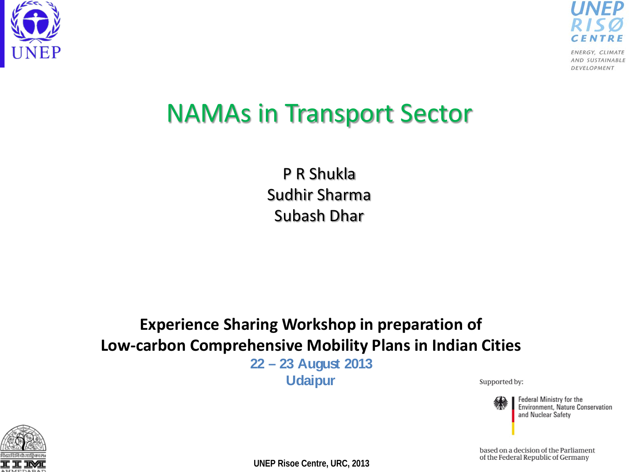



### NAMAs in Transport Sector

P R Shukla Sudhir Sharma Subash Dhar

#### **Experience Sharing Workshop in preparation of Low-carbon Comprehensive Mobility Plans in Indian Cities**

**22 – 23 August 2013 Udaipur**

Supported by:



Federal Ministry for the **Environment, Nature Conservation** and Nuclear Safety



**UNEP Risoe Centre, URC, 2013**

based on a decision of the Parliament of the Federal Republic of Germany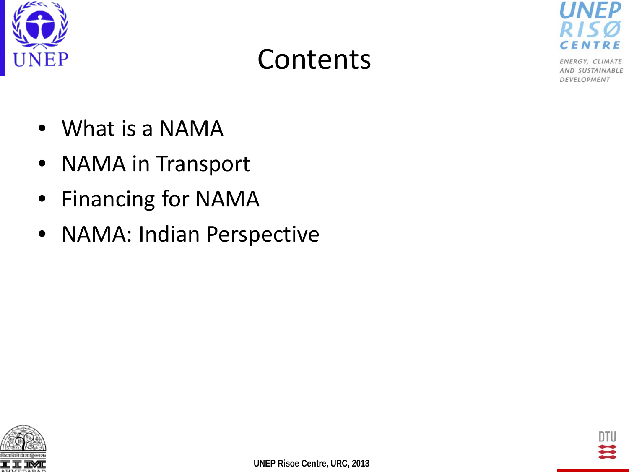





- What is a NAMA
- NAMA in Transport
- Financing for NAMA
- NAMA: Indian Perspective



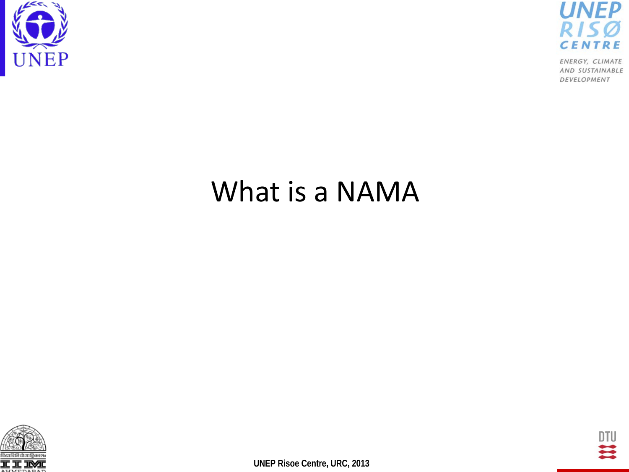



### What is a NAMA



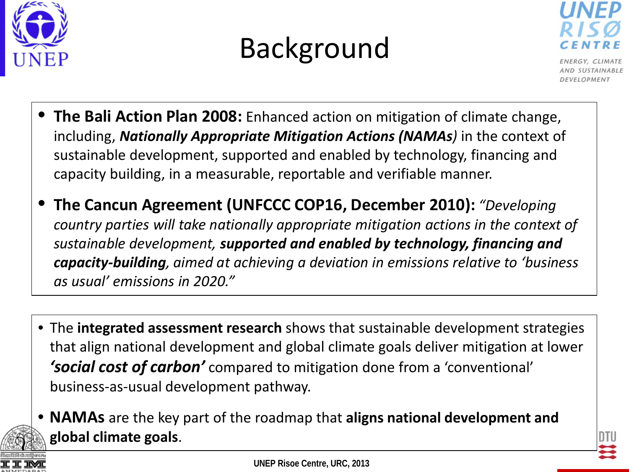





- **The Bali Action Plan 2008:** Enhanced action on mitigation of climate change, including, *Nationally Appropriate Mitigation Actions (NAMAs)* in the context of sustainable development, supported and enabled by technology, financing and capacity building, in a measurable, reportable and verifiable manner.
- **The Cancun Agreement (UNFCCC COP16, December 2010):** *"Developing country parties will take nationally appropriate mitigation actions in the context of sustainable development, supported and enabled by technology, financing and capacity-building, aimed at achieving a deviation in emissions relative to 'business as usual' emissions in 2020."*
- The **integrated assessment research** shows that sustainable development strategies that align national development and global climate goals deliver mitigation at lower *'social cost of carbon'* compared to mitigation done from a 'conventional' business-as-usual development pathway.
- 



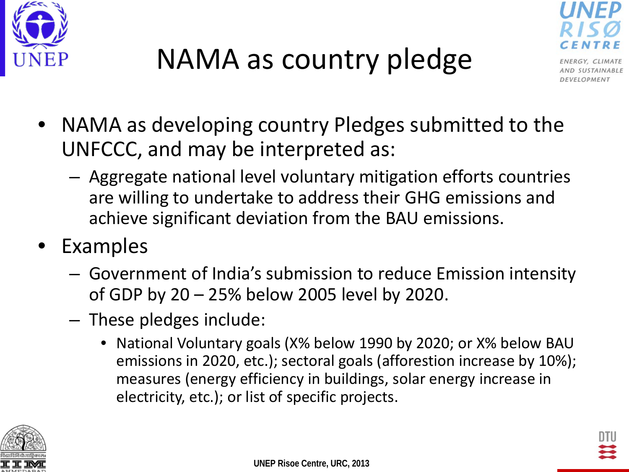



- NAMA as developing country Pledges submitted to the UNFCCC, and may be interpreted as:
	- Aggregate national level voluntary mitigation efforts countries are willing to undertake to address their GHG emissions and achieve significant deviation from the BAU emissions.
- **Examples** 
	- Government of India's submission to reduce Emission intensity of GDP by 20 – 25% below 2005 level by 2020.
	- These pledges include:
		- National Voluntary goals (X% below 1990 by 2020; or X% below BAU emissions in 2020, etc.); sectoral goals (afforestion increase by 10%); measures (energy efficiency in buildings, solar energy increase in electricity, etc.); or list of specific projects.

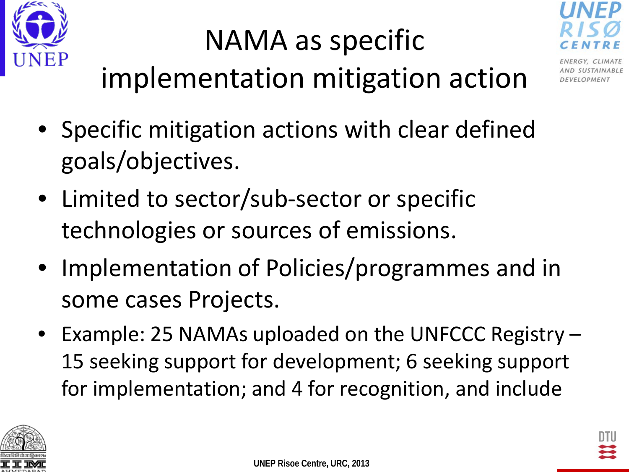

### NAMA as specific implementation mitigation action



- Specific mitigation actions with clear defined goals/objectives.
- Limited to sector/sub-sector or specific technologies or sources of emissions.
- Implementation of Policies/programmes and in some cases Projects.
- Example: 25 NAMAs uploaded on the UNFCCC Registry 15 seeking support for development; 6 seeking support for implementation; and 4 for recognition, and include

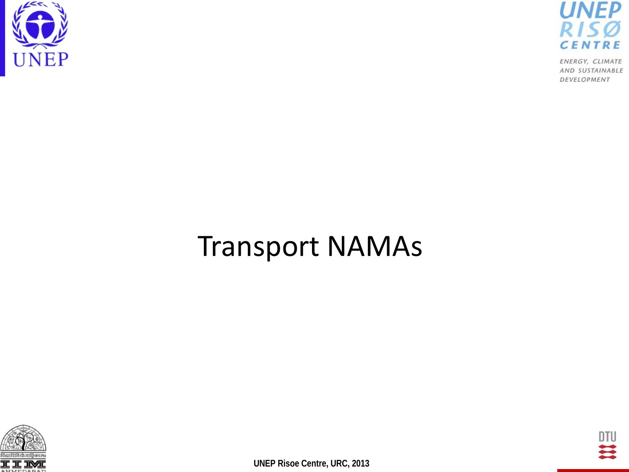



### Transport NAMAs



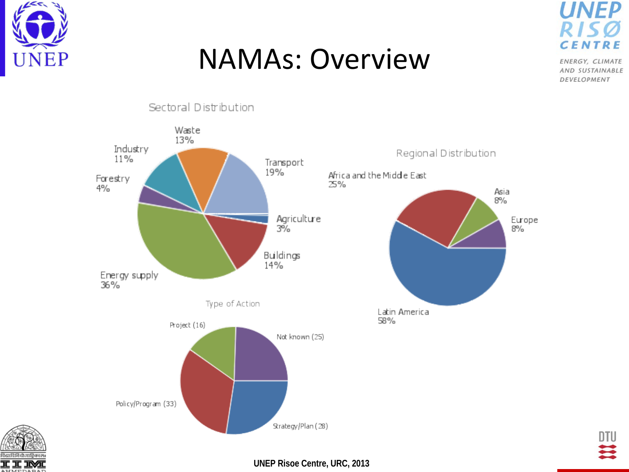

### NAMAs: Overview

**UNEP CENT** 

ENERGY, CLIMATE AND SUSTAINABLE DEVELOPMENT





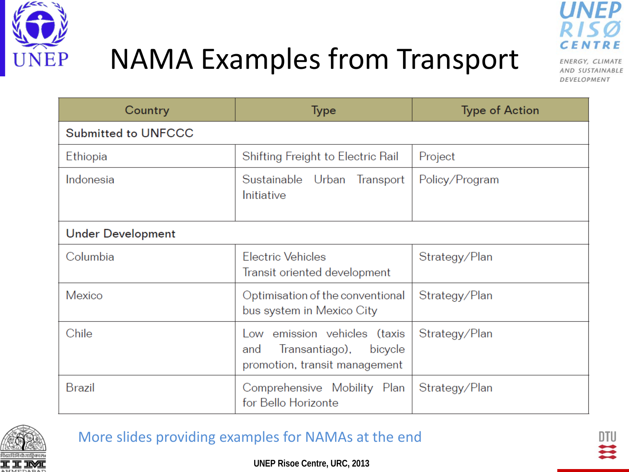

### NAMA Examples from Transport



ENERGY, CLIMATE AND SUSTAINABLE DEVELOPMENT

| Country                    | <b>Type</b>                                                                                       | <b>Type of Action</b> |
|----------------------------|---------------------------------------------------------------------------------------------------|-----------------------|
| <b>Submitted to UNFCCC</b> |                                                                                                   |                       |
| Ethiopia                   | Shifting Freight to Electric Rail                                                                 | Project               |
| Indonesia                  | Sustainable Urban Transport<br>Initiative                                                         | Policy/Program        |
| <b>Under Development</b>   |                                                                                                   |                       |
| Columbia                   | <b>Electric Vehicles</b><br>Transit oriented development                                          | Strategy/Plan         |
| Mexico                     | Optimisation of the conventional<br>bus system in Mexico City                                     | Strategy/Plan         |
| Chile                      | Low emission vehicles (taxis<br>Transantiago),<br>bicycle<br>and<br>promotion, transit management | Strategy/Plan         |
| <b>Brazil</b>              | Comprehensive Mobility Plan<br>for Bello Horizonte                                                | Strategy/Plan         |



#### More slides providing examples for NAMAs at the end

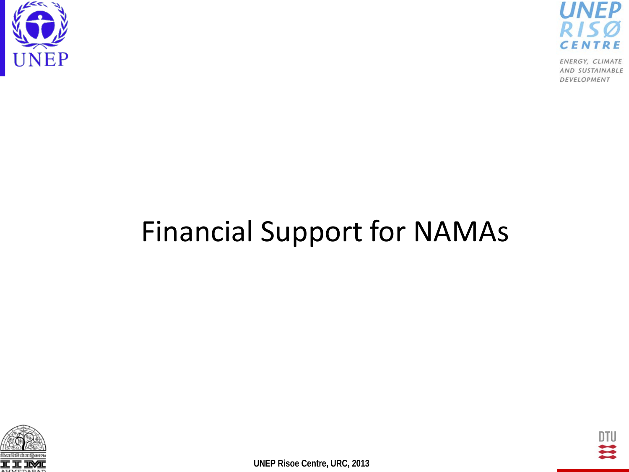



### Financial Support for NAMAs



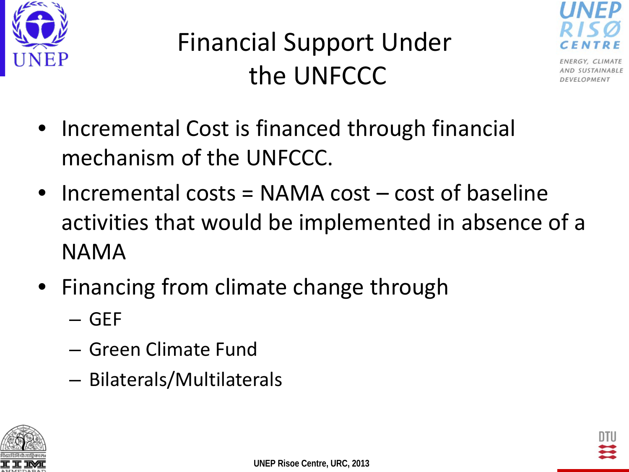



- Incremental Cost is financed through financial mechanism of the UNFCCC.
- Incremental costs = NAMA cost cost of baseline activities that would be implemented in absence of a NAMA
- Financing from climate change through
	- GEF
	- Green Climate Fund
	- Bilaterals/Multilaterals



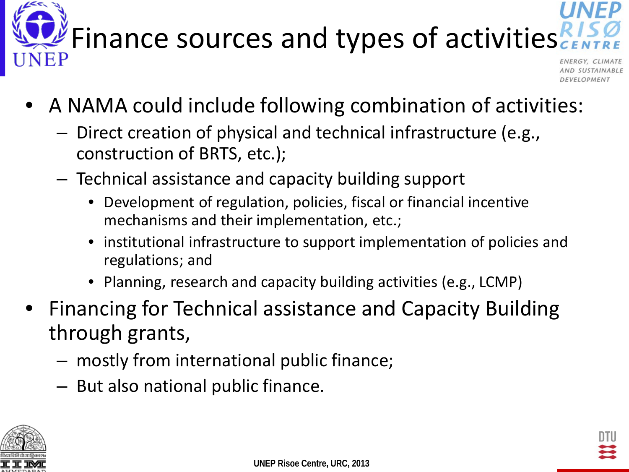

# Finance sources and types of activities

- A NAMA could include following combination of activities:
	- Direct creation of physical and technical infrastructure (e.g., construction of BRTS, etc.);
	- Technical assistance and capacity building support
		- Development of regulation, policies, fiscal or financial incentive mechanisms and their implementation, etc.;
		- institutional infrastructure to support implementation of policies and regulations; and
		- Planning, research and capacity building activities (e.g., LCMP)
- Financing for Technical assistance and Capacity Building through grants,
	- mostly from international public finance;
	- But also national public finance.

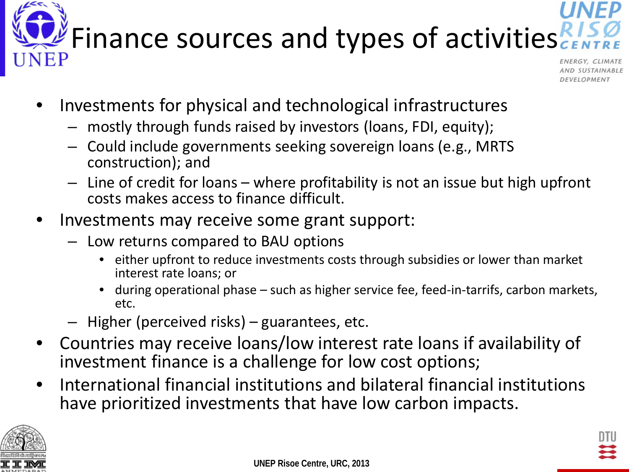



- Investments for physical and technological infrastructures
	- mostly through funds raised by investors (loans, FDI, equity);
	- Could include governments seeking sovereign loans (e.g., MRTS construction); and
	- Line of credit for loans where profitability is not an issue but high upfront costs makes access to finance difficult.
- Investments may receive some grant support:
	- Low returns compared to BAU options
		- either upfront to reduce investments costs through subsidies or lower than market interest rate loans; or
		- during operational phase such as higher service fee, feed-in-tarrifs, carbon markets, etc.
	- Higher (perceived risks) guarantees, etc.
- Countries may receive loans/low interest rate loans if availability of investment finance is a challenge for low cost options;
- International financial institutions and bilateral financial institutions have prioritized investments that have low carbon impacts.

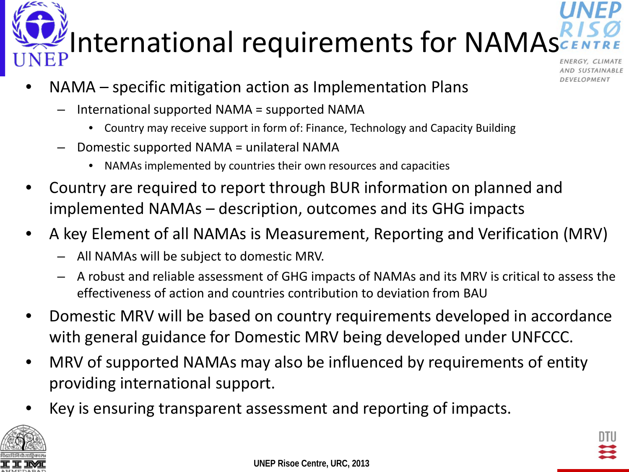

# International requirements for NAMAs

- NAMA specific mitigation action as Implementation Plans
	- International supported NAMA = supported NAMA
		- Country may receive support in form of: Finance, Technology and Capacity Building
	- Domestic supported NAMA = unilateral NAMA
		- NAMAs implemented by countries their own resources and capacities
- Country are required to report through BUR information on planned and implemented NAMAs – description, outcomes and its GHG impacts
- A key Element of all NAMAs is Measurement, Reporting and Verification (MRV)
	- All NAMAs will be subject to domestic MRV.
	- A robust and reliable assessment of GHG impacts of NAMAs and its MRV is critical to assess the effectiveness of action and countries contribution to deviation from BAU
- Domestic MRV will be based on country requirements developed in accordance with general guidance for Domestic MRV being developed under UNFCCC.
- MRV of supported NAMAs may also be influenced by requirements of entity providing international support.
- Key is ensuring transparent assessment and reporting of impacts.

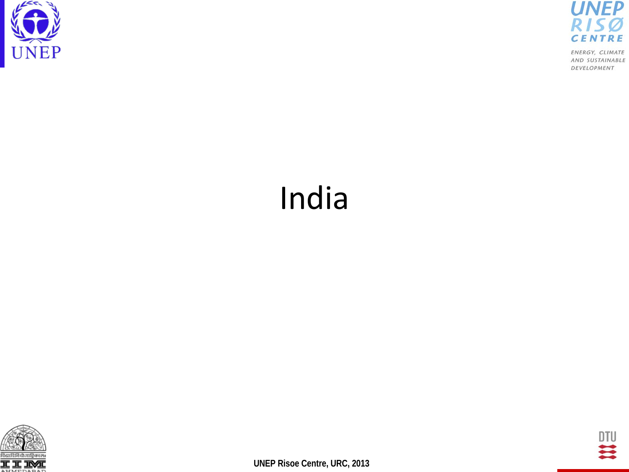



# India



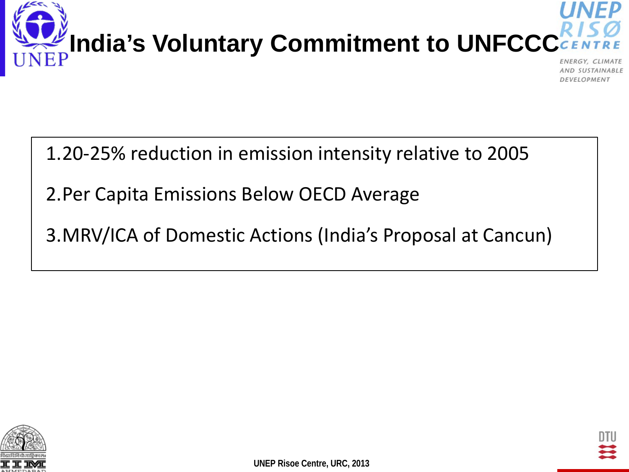

AND SUSTAINABLE DEVELOPMENT

#### 1.20-25% reduction in emission intensity relative to 2005

- 2.Per Capita Emissions Below OECD Average
- 3.MRV/ICA of Domestic Actions (India's Proposal at Cancun)



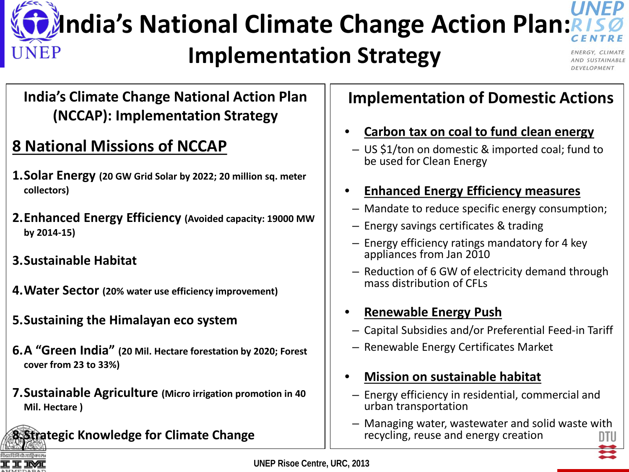### **D** Andia's National Climate Change Action Plan: UNEP

#### **Implementation Strategy**

#### **India's Climate Change National Action Plan (NCCAP): Implementation Strategy**

#### **8 National Missions of NCCAP**

- **1.Solar Energy (20 GW Grid Solar by 2022; 20 million sq. meter collectors)**
- **2.Enhanced Energy Efficiency (Avoided capacity: 19000 MW by 2014-15)**
- **3.Sustainable Habitat**
- **4.Water Sector (20% water use efficiency improvement)**
- **5.Sustaining the Himalayan eco system**
- **6.A "Green India" (20 Mil. Hectare forestation by 2020; Forest cover from 23 to 33%)**
- **7.Sustainable Agriculture (Micro irrigation promotion in 40 Mil. Hectare )**

**8.Strategic Knowledge for Climate Change**

#### **Implementation of Domestic Actions**

- **Carbon tax on coal to fund clean energy**
	- US \$1/ton on domestic & imported coal; fund to be used for Clean Energy
- **Enhanced Energy Efficiency measures**
- Mandate to reduce specific energy consumption;
- Energy savings certificates & trading
- Energy efficiency ratings mandatory for 4 key appliances from Jan 2010
- Reduction of 6 GW of electricity demand through mass distribution of CFLs

#### • **Renewable Energy Push**

- Capital Subsidies and/or Preferential Feed-in Tariff
- Renewable Energy Certificates Market
- **Mission on sustainable habitat**
- Energy efficiency in residential, commercial and urban transportation
- Managing water, wastewater and solid waste with recycling, reuse and energy creation



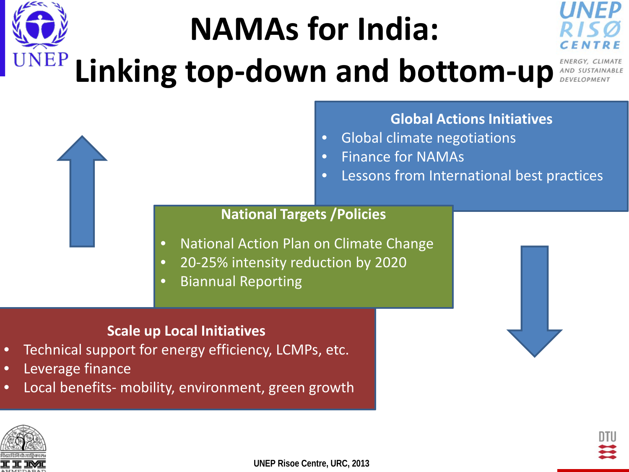# **NAMAs for India: Linking top-down and bottom-up**



#### **Global Actions Initiatives**

- Global climate negotiations
- Finance for NAMAs
- Lessons from International best practices

#### **National Targets /Policies**

- National Action Plan on Climate Change
- 20-25% intensity reduction by 2020
- Biannual Reporting

#### **Scale up Local Initiatives**

- Technical support for energy efficiency, LCMPs, etc.
- Leverage finance
- Local benefits- mobility, environment, green growth



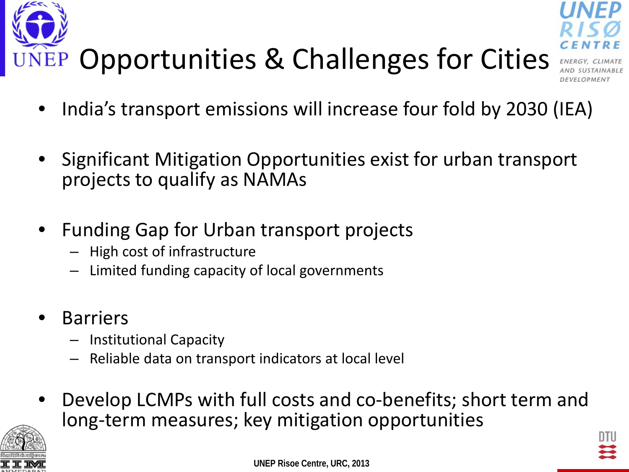



- Significant Mitigation Opportunities exist for urban transport projects to qualify as NAMAs
- Funding Gap for Urban transport projects
	- High cost of infrastructure
	- Limited funding capacity of local governments
- **Barriers** 
	- Institutional Capacity
	- Reliable data on transport indicators at local level
- Develop LCMPs with full costs and co-benefits; short term and long-term measures; key mitigation opportunities



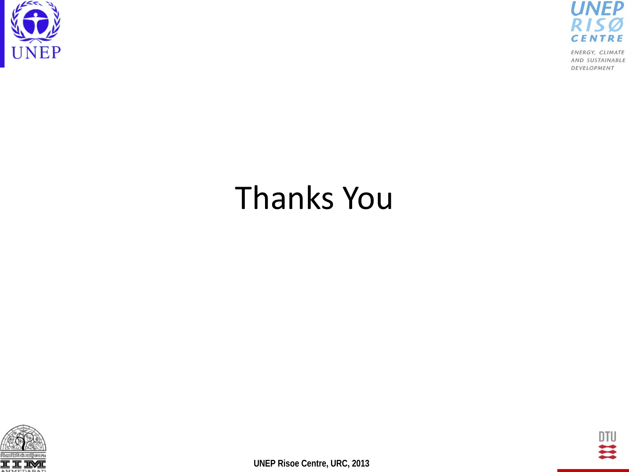



# Thanks You



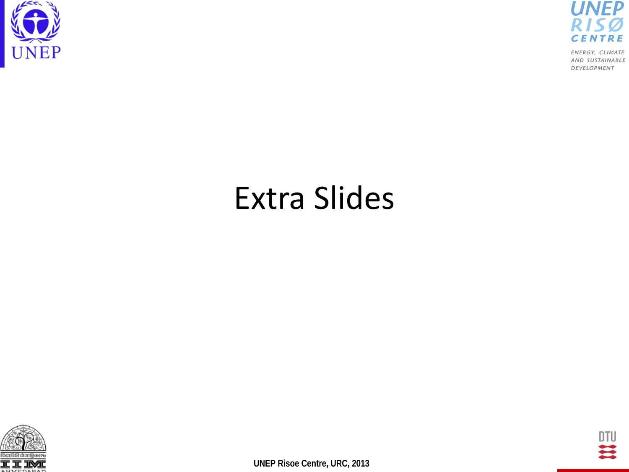



# Extra Slides



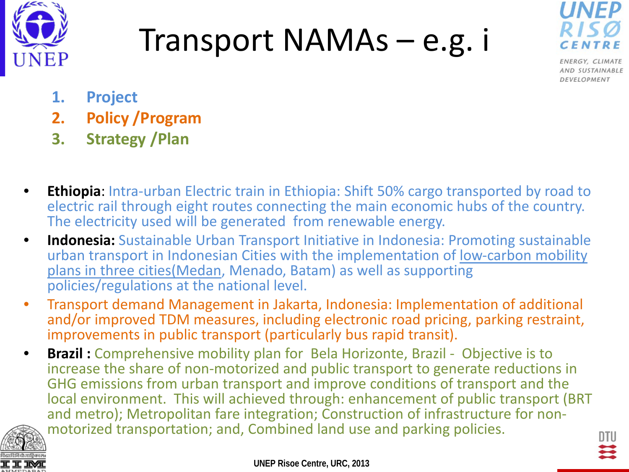

# Transport NAMAs – e.g. i



ENERGY, CLIMATE AND SUSTAINABLE DEVELOPMENT

- **1. Project**
- **2. Policy /Program**
- **3. Strategy /Plan**
- **Ethiopia:** Intra-urban Electric train in Ethiopia: Shift 50% cargo transported by road to electric rail through eight routes connecting the main economic hubs of the country. The electricity used will be generated from renewable energy.
- **Indonesia:** Sustainable Urban Transport Initiative in Indonesia: Promoting sustainable urban transport in Indonesian Cities with the implementation of low-carbon mobility plans in three cities(Medan, Menado, Batam) as well as supporting policies/regulations at the national level.
- Transport demand Management in Jakarta, Indonesia: Implementation of additional and/or improved TDM measures, including electronic road pricing, parking restraint, improvements in public transport (particularly bus rapid transit).
- **Brazil:** Comprehensive mobility plan for Bela Horizonte, Brazil Objective is to increase the share of non-motorized and public transport to generate reductions in GHG emissions from urban transport and improve conditions of transport and the local environment. This will achieved through: enhancement of public transport (BRT and metro); Metropolitan fare integration; Construction of infrastructure for non- motorized transportation; and, Combined land use and parking policies.

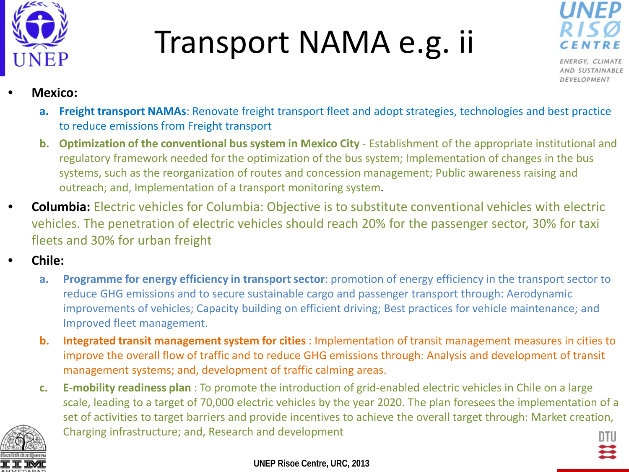

# Transport NAMA e.g. ii



ENERGY, CLIMATE AND SUSTAINABLE DEVELOPMENT

#### • **Mexico:**

- **a. Freight transport NAMAs**: Renovate freight transport fleet and adopt strategies, technologies and best practice to reduce emissions from Freight transport
- **b.** Optimization of the conventional bus system in Mexico City Establishment of the appropriate institutional and regulatory framework needed for the optimization of the bus system; Implementation of changes in the bus systems, such as the reorganization of routes and concession management; Public awareness raising and outreach; and, Implementation of a transport monitoring system.
- **Columbia:** Electric vehicles for Columbia: Objective is to substitute conventional vehicles with electric vehicles. The penetration of electric vehicles should reach 20% for the passenger sector, 30% for taxi fleets and 30% for urban freight
- **Chile:**
	- **a. Programme for energy efficiency in transport sector**: promotion of energy efficiency in the transport sector to reduce GHG emissions and to secure sustainable cargo and passenger transport through: Aerodynamic improvements of vehicles; Capacity building on efficient driving; Best practices for vehicle maintenance; and Improved fleet management.
	- **b. Integrated transit management system for cities** : Implementation of transit management measures in cities to improve the overall flow of traffic and to reduce GHG emissions through: Analysis and development of transit management systems; and, development of traffic calming areas.
	- **c. E-mobility readiness plan** : To promote the introduction of grid-enabled electric vehicles in Chile on a large scale, leading to a target of 70,000 electric vehicles by the year 2020. The plan foresees the implementation of a set of activities to target barriers and provide incentives to achieve the overall target through: Market creation, Charging infrastructure; and, Research and development

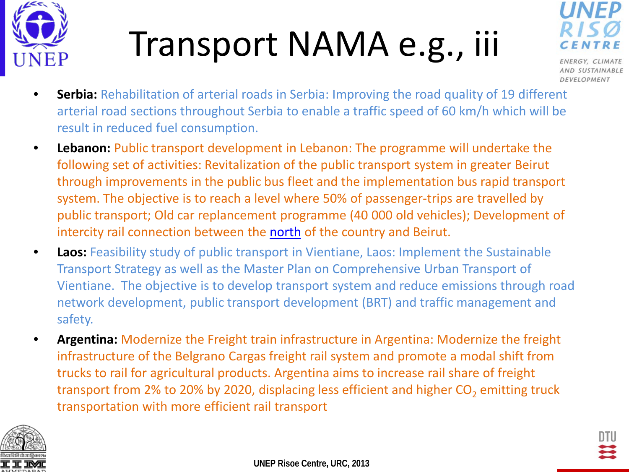

# Transport NAMA e.g., iii



AND SUSTAINABLE DEVELOPMENT

- **Serbia:** Rehabilitation of arterial roads in Serbia: Improving the road quality of 19 different arterial road sections throughout Serbia to enable a traffic speed of 60 km/h which will be result in reduced fuel consumption.
- **Lebanon:** Public transport development in Lebanon: The programme will undertake the following set of activities: Revitalization of the public transport system in greater Beirut through improvements in the public bus fleet and the implementation bus rapid transport system. The objective is to reach a level where 50% of passenger-trips are travelled by public transport; Old car replancement programme (40 000 old vehicles); Development of intercity rail connection between the [north](http://www.nama-database.org/index.php/Public_transport_development_in_Lebanon) of the country and Beirut.
- **Laos:** Feasibility study of public transport in Vientiane, Laos: Implement the Sustainable Transport Strategy as well as the Master Plan on Comprehensive Urban Transport of Vientiane. The objective is to develop transport system and reduce emissions through road network development, public transport development (BRT) and traffic management and safety.
- **Argentina:** Modernize the Freight train infrastructure in Argentina: Modernize the freight infrastructure of the Belgrano Cargas freight rail system and promote a modal shift from trucks to rail for agricultural products. Argentina aims to increase rail share of freight transport from 2% to 20% by 2020, displacing less efficient and higher  $CO<sub>2</sub>$  emitting truck transportation with more efficient rail transport